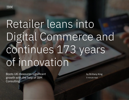# Retailer leans into Digital Commerce and continues 173 years of innovation

Boots UK measures significant growth with the help of IBM **Consulting** 

by Brittany King 5-minute read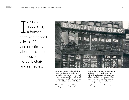n 1849, John Boot, a former farmworker, took a leap of faith and drastically altered his career to focus on herbal biology and remedies. I



Though the agriculture laborer had no formal qualifications beyond what he learned from his mother, who practiced herbal management, Boot was inspired to set up a shop to sell medicinal herbal remedies at Goose Gate, Nottingham.

While a lot has changed in 173 years, one thing remains instilled in the iconic Boots family: its commitment to customer wellbeing. The UK's leading pharmacyled health and beauty retailer continues to be unmatched in its mission to deliver exceptional customer and patient care as it evolves with the times. But can the iconic brick-and-mortar business carry that success over into the digital landscape?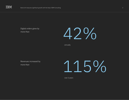

Digital orders grew by more than



annually

Revenues increased by more than

115%

over 2 years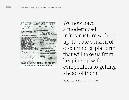

"We now have a modernized infrastructure with an up-to-date version of e-commerce platform that will take us from keeping up with competitors to getting ahead of them."

**Rich Corbridge**, Chief Information Officer, Boots UK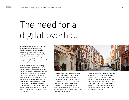# The need for a digital overhaul

Although it markets itself as a pharmacy, Boots is more than just a one-stop shop for healthcare needs. It's where a wide array of goods, convenience and beauty can fill a customer's basket. Yet to continue to meet the needs of its customers and keep up with modern times, the longstanding business needed to evolve digitally.

Boots needed to upgrade its existing infrastructure to support a new type of customer capacity because running old versions of website e-commerce software had become problematic. The number of customers kept increasing, but the site's ability to handle the volume wasn't keeping up—leading the team at Boots to become increasingly fearful of peak times. The site's issues became even more prominent in 2020, when the world's consumerism drastically changed as the COVID-19 pandemic forced more people to shop online.



Rich Corbridge, Chief Information Officer (CIO) at Boots, explains: "We were in fear of peak. We had a site built for a pre-Covid world and knew that it would be difficult to balance a site and keep it running and moving in peak times. Going from 7,000 people a minute to 19,000 at its highest peak just wasn't working; we needed to upgrade the entire infrastructure and tools."

Corbridge continues: "The questions were, 'How do we move Boots.com over to a modern platform, a cloud-like platform and boost AI? How do we upgrade to the latest version of web commerce to give us more tools to support customers? How do we stabilize a platform that was growing pre-pandemic in numbers of users and has simply just exploded?'"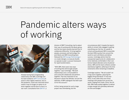## Pandemic alters ways of working



Already having had a longstanding relationship with IBM, Corbridge and his team looked to [IBM® Consulting](https://www.ibm.com/consulting/) to assist in their digital makeover. Due to the pandemic, travel was restricted which meant it was no longer an option to sit down together and be face-to-face in a war room. Consultants from [IBM iX®,](https://www.ibm.com/services/ibmix) a

division of IBM® Consulting, had to adjust their way of working with the Boots group, and the two teams quickly learned how to collaborate differently. To bring together people, processes and technology, the joint Boots and IBM Consulting team followed the [IBM Garage Methodology](https://www.ibm.com/garage/method) co-create (design), co-execute (build), co-operate (scale)—a proven framework for rapid transformation.

"With IBM, there were new ways of working that still brought people together," says Corbridge. "We built relationships over a virtual platform and could still collaborate and perform together. That was important to me because it shows the attitude, not just the aptitude, of IBM colleagues has been spot on for this account."

At first, being remote for such a large project was intimidating, but the

circumstances didn't impede the team's ability to remain fully engaged in getting everything over the line. An upside to virtual working allowed IBM to assemble the best SMEs quickly from around the world to work with Boots and deliver success. Corbridge admits that the unexpected opportunity for collaborators to be relatively comfortable in their own homes helped alleviate some situational stress. IBM and the team at Boots worked seamlessly together, adhering to the time constraints while remaining on deadline.

Corbridge explains: "We all couldn't sit in big rooms together, planning the biggest thing that Boots' IT has ever done. It was video links and virtual meetings with people from across the world, ranging from India, China, the US. Still, IBM really pulled together to deliver a huge change and ultimately delivered on time and budget."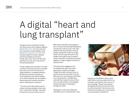### A digital "heart and lung transplant"

The goal at hand consisted of moving the infrastructure and its legacy programs over to [IBM Cloud®](https://www.ibm.com/cloud). For over a year, the two companies worked together using the [Red Hat® OpenShift® on IBM Cloud](https://www.ibm.com/cloud/openshift)  container platform to build, replicate and test the digital environment. Finally, after a year and a half, the dress rehearsal was over, and it was time for the opening weekend.

To take a legacy site and evolve it to meet a modern e-commerce world is no simple task, and to do it over the course of a single weekend is incredibly ambitious. But because the teams had done so much preparation and checks leading up to rollout weekend, the new platform experienced zero incidents during the launch, affecting zero customers.

"The work can be described as akin to a heart and lung transplant at the same time," comments Corbridge. "We made the decision to move to what we term

IBM Cloud inside Boots and migrate to HCL Commerce (formerly IBM Websphere Commerce) to version nine in the same weekend. We were asking so much of people, asking them to give up a huge amount of time to get this done in the middle of the night so that it wouldn't impact customers. Everybody truly pulled together to make it happen in that short period of time."

The post-launch engagement set the collaboration apart from other experiences, explains Corbridge. Though the project contracts were up as the site was live, that didn't stop the IBM team from continuing to assist Boots in its transformation. The IBM team extended their support to ensure there was a smooth handover of knowledge transfer, making sure nothing fell through the cracks.

"Being able to work and collaborate with IBM as sort of a lead partner in this



has given us the ability to have a much wider, better and more useful site for our customers and patients that come to us," says Corbridge. "People now really do see digitally that Boots is there for them as well as physically. That has been very important as people aren't out and about as much because of COVID-19."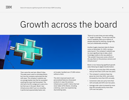### Growth across the board



Then came the real test—Black Friday. The peak event used to intimidate Boots, but now the company welcomed the day with ease. The company's website saw an average basket size that far exceeded anything the team had forecasted. The site had a horrific outage just a year prior, but that was in the past. Boots' new infrastructure didn't just run smoothly, it performed exponentially faster and,

at its peak, handled over 27,000 visitors without a hitch.

The site's improved search and personalized features showcased products in ways the previous infrastructure couldn't. Items that had never taken off for Boots, including a ketchup, were now experiencing skyrocketing sales.

"None of us even knew we were selling it," laughs Corbridge. "To see how well the search capability held up as millions of people searched for ketchup, though silly, was just unbelievably amazing."

Another hugely important date for Boots came on December 23, 2021, during a sales launch. The company's website saw its most significant day to date, which Corbridge credits to the new platform: "We wouldn't have even come a third of the way there on the previous versions and infrastructure."

Boots is now measuring significant growth rates following its digital transformation:

- Revenue is up more than 54% annually, and up more than 115% over two years.
- The company's customer base has grown by more than 45%, and orders increased by more than 42% annually.
- Conversion rates are up by more than 16% annually and 43% over two years.
- Average order value increased by more than 8% annually and by more than 13% over two years.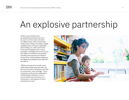### An explosive partnership

Suffice to say, the Boots team accomplished everything it set out to do, even if, at times, they went about it in different ways. With a modernized infrastructure in place, the retailer's digital scalability and e-commerce capabilities seem limitless. So, what's next for the iconic brand? Equipped with a strong foundation, Corbridge and his team can set their sights on a handful of new projects, including a new payment and checkout process and a newly designed mobile app, and digital store initiatives which IBM will be a part of.

"IBM has not only set us up with a new modernized infrastructure and tools, but also an environment that allows us to build on continuously," says Corbridge. "This is a testament to the way the collaboration worked between the teams. It isn't a one-hit wonder and we're done; it's a continuation, a real explosion of how a partnership can work."